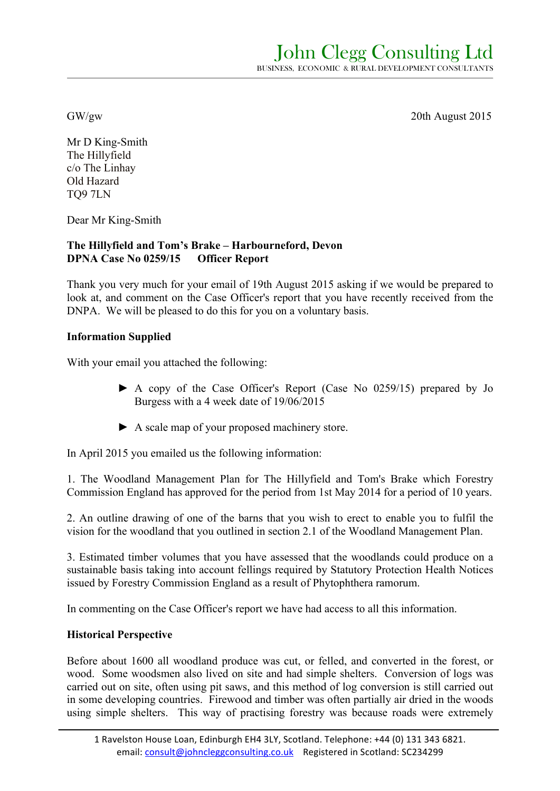John Clegg Consulting Ltd BUSINESS, ECONOMIC & RURAL DEVELOPMENT CONSULTANTS

GW/gw 20th August 2015

Mr D King-Smith The Hillyfield c/o The Linhay Old Hazard TQ9 7LN

Dear Mr King-Smith

# **The Hillyfield and Tom's Brake – Harbourneford, Devon DPNA Case No 0259/15 Officer Report**

Thank you very much for your email of 19th August 2015 asking if we would be prepared to look at, and comment on the Case Officer's report that you have recently received from the DNPA. We will be pleased to do this for you on a voluntary basis.

# **Information Supplied**

With your email you attached the following:

- ► A copy of the Case Officer's Report (Case No 0259/15) prepared by Jo Burgess with a 4 week date of 19/06/2015
- ► A scale map of your proposed machinery store.

In April 2015 you emailed us the following information:

1. The Woodland Management Plan for The Hillyfield and Tom's Brake which Forestry Commission England has approved for the period from 1st May 2014 for a period of 10 years.

2. An outline drawing of one of the barns that you wish to erect to enable you to fulfil the vision for the woodland that you outlined in section 2.1 of the Woodland Management Plan.

3. Estimated timber volumes that you have assessed that the woodlands could produce on a sustainable basis taking into account fellings required by Statutory Protection Health Notices issued by Forestry Commission England as a result of Phytophthera ramorum.

In commenting on the Case Officer's report we have had access to all this information.

### **Historical Perspective**

Before about 1600 all woodland produce was cut, or felled, and converted in the forest, or wood. Some woodsmen also lived on site and had simple shelters. Conversion of logs was carried out on site, often using pit saws, and this method of log conversion is still carried out in some developing countries. Firewood and timber was often partially air dried in the woods using simple shelters. This way of practising forestry was because roads were extremely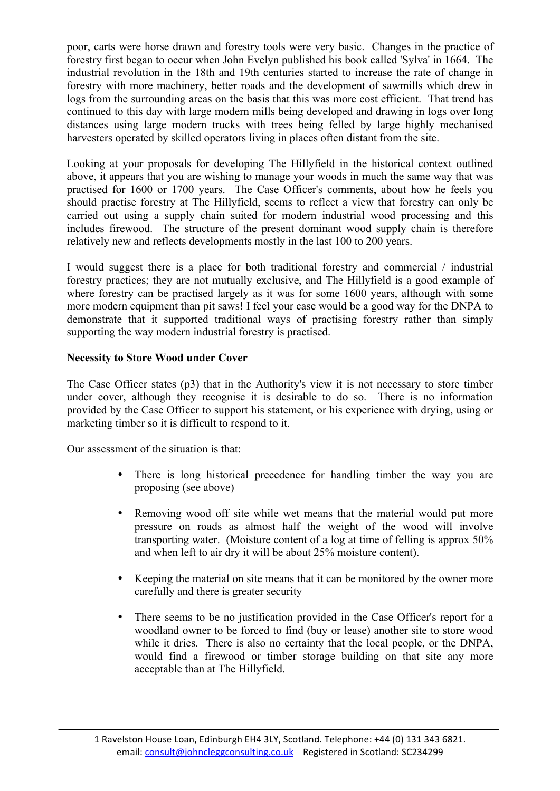poor, carts were horse drawn and forestry tools were very basic. Changes in the practice of forestry first began to occur when John Evelyn published his book called 'Sylva' in 1664. The industrial revolution in the 18th and 19th centuries started to increase the rate of change in forestry with more machinery, better roads and the development of sawmills which drew in logs from the surrounding areas on the basis that this was more cost efficient. That trend has continued to this day with large modern mills being developed and drawing in logs over long distances using large modern trucks with trees being felled by large highly mechanised harvesters operated by skilled operators living in places often distant from the site.

Looking at your proposals for developing The Hillyfield in the historical context outlined above, it appears that you are wishing to manage your woods in much the same way that was practised for 1600 or 1700 years. The Case Officer's comments, about how he feels you should practise forestry at The Hillyfield, seems to reflect a view that forestry can only be carried out using a supply chain suited for modern industrial wood processing and this includes firewood. The structure of the present dominant wood supply chain is therefore relatively new and reflects developments mostly in the last 100 to 200 years.

I would suggest there is a place for both traditional forestry and commercial / industrial forestry practices; they are not mutually exclusive, and The Hillyfield is a good example of where forestry can be practised largely as it was for some 1600 years, although with some more modern equipment than pit saws! I feel your case would be a good way for the DNPA to demonstrate that it supported traditional ways of practising forestry rather than simply supporting the way modern industrial forestry is practised.

# **Necessity to Store Wood under Cover**

The Case Officer states (p3) that in the Authority's view it is not necessary to store timber under cover, although they recognise it is desirable to do so. There is no information provided by the Case Officer to support his statement, or his experience with drying, using or marketing timber so it is difficult to respond to it.

Our assessment of the situation is that:

- There is long historical precedence for handling timber the way you are proposing (see above)
- Removing wood off site while wet means that the material would put more pressure on roads as almost half the weight of the wood will involve transporting water. (Moisture content of a log at time of felling is approx 50% and when left to air dry it will be about 25% moisture content).
- Keeping the material on site means that it can be monitored by the owner more carefully and there is greater security
- There seems to be no justification provided in the Case Officer's report for a woodland owner to be forced to find (buy or lease) another site to store wood while it dries. There is also no certainty that the local people, or the DNPA, would find a firewood or timber storage building on that site any more acceptable than at The Hillyfield.

<sup>1</sup> Ravelston House Loan, Edinburgh EH4 3LY, Scotland. Telephone: +44 (0) 131 343 6821. email: consult@johncleggconsulting.co.uk Registered in Scotland: SC234299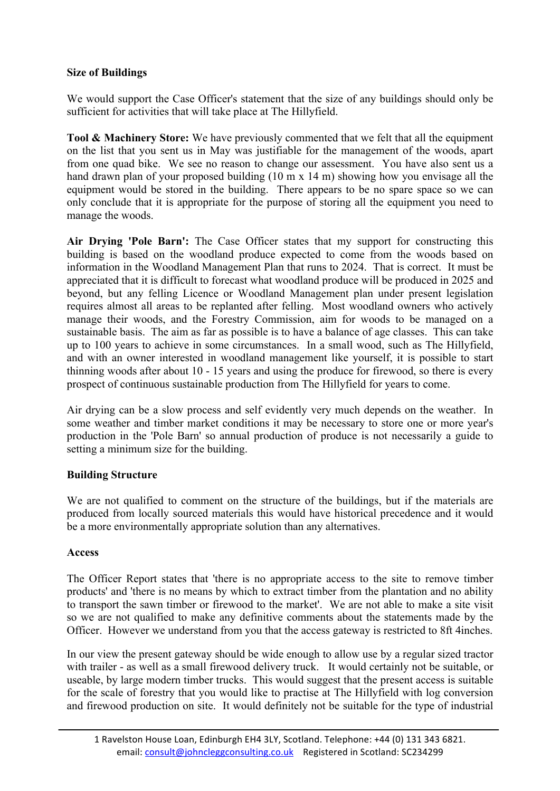# **Size of Buildings**

We would support the Case Officer's statement that the size of any buildings should only be sufficient for activities that will take place at The Hillyfield.

**Tool & Machinery Store:** We have previously commented that we felt that all the equipment on the list that you sent us in May was justifiable for the management of the woods, apart from one quad bike. We see no reason to change our assessment. You have also sent us a hand drawn plan of your proposed building (10 m x 14 m) showing how you envisage all the equipment would be stored in the building. There appears to be no spare space so we can only conclude that it is appropriate for the purpose of storing all the equipment you need to manage the woods.

**Air Drying 'Pole Barn':** The Case Officer states that my support for constructing this building is based on the woodland produce expected to come from the woods based on information in the Woodland Management Plan that runs to 2024. That is correct. It must be appreciated that it is difficult to forecast what woodland produce will be produced in 2025 and beyond, but any felling Licence or Woodland Management plan under present legislation requires almost all areas to be replanted after felling. Most woodland owners who actively manage their woods, and the Forestry Commission, aim for woods to be managed on a sustainable basis. The aim as far as possible is to have a balance of age classes. This can take up to 100 years to achieve in some circumstances. In a small wood, such as The Hillyfield and with an owner interested in woodland management like yourself, it is possible to start thinning woods after about 10 - 15 years and using the produce for firewood, so there is every prospect of continuous sustainable production from The Hillyfield for years to come.

Air drying can be a slow process and self evidently very much depends on the weather. In some weather and timber market conditions it may be necessary to store one or more year's production in the 'Pole Barn' so annual production of produce is not necessarily a guide to setting a minimum size for the building.

### **Building Structure**

We are not qualified to comment on the structure of the buildings, but if the materials are produced from locally sourced materials this would have historical precedence and it would be a more environmentally appropriate solution than any alternatives.

### **Access**

The Officer Report states that 'there is no appropriate access to the site to remove timber products' and 'there is no means by which to extract timber from the plantation and no ability to transport the sawn timber or firewood to the market'. We are not able to make a site visit so we are not qualified to make any definitive comments about the statements made by the Officer. However we understand from you that the access gateway is restricted to 8ft 4inches.

In our view the present gateway should be wide enough to allow use by a regular sized tractor with trailer - as well as a small firewood delivery truck. It would certainly not be suitable, or useable, by large modern timber trucks. This would suggest that the present access is suitable for the scale of forestry that you would like to practise at The Hillyfield with log conversion and firewood production on site. It would definitely not be suitable for the type of industrial